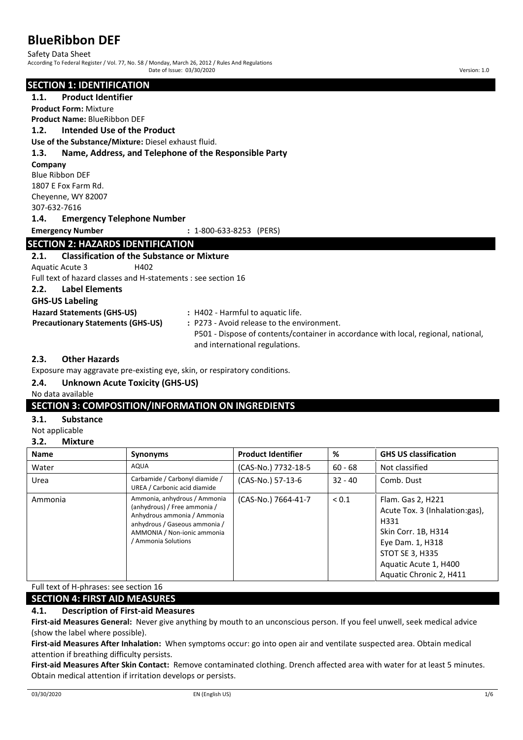Safety Data Sheet According To Federal Register / Vol. 77, No. 58 / Monday, March 26, 2012 / Rules And Regulations Date of Issue: 03/30/2020 Version: 1.0

#### **SECTION 1: IDENTIFICATION**

**1.1. Product Identifier Product Form:** Mixture

**Product Name:** BlueRibbon DEF

**1.2. Intended Use of the Product**

**Use of the Substance/Mixture:** Diesel exhaust fluid.

### **1.3. Name, Address, and Telephone of the Responsible Party**

**Company**

Blue Ribbon DEF 1807 E Fox Farm Rd.

Cheyenne, WY 82007

307-632-7616

### **1.4. Emergency Telephone Number**

**Emergency Number :** 1-800-633-8253 (PERS)

### **SECTION 2: HAZARDS IDENTIFICATION**

# **2.1. Classification of the Substance or Mixture** Aquatic Acute 3 H402 Full text of hazard classes and H-statements : see section 16

**2.2. Label Elements**

# **GHS-US Labeling**

| <b>GHS-US Labeling</b>                   |                                                                                    |
|------------------------------------------|------------------------------------------------------------------------------------|
| <b>Hazard Statements (GHS-US)</b>        | : H402 - Harmful to aquatic life.                                                  |
| <b>Precautionary Statements (GHS-US)</b> | : P273 - Avoid release to the environment.                                         |
|                                          | P501 - Dispose of contents/container in accordance with local, regional, national, |
|                                          | and international regulations.                                                     |

# **2.3. Other Hazards**

Exposure may aggravate pre-existing eye, skin, or respiratory conditions.

# **2.4. Unknown Acute Toxicity (GHS-US)**

No data available

# **SECTION 3: COMPOSITION/INFORMATION ON INGREDIENTS**

### **3.1. Substance**

Not applicable

### **3.2. Mixture**

| <b>Name</b> | <b>Synonyms</b>                                                                                                                                                                  | <b>Product Identifier</b> | %          | <b>GHS US classification</b>                                                                                                                                                         |
|-------------|----------------------------------------------------------------------------------------------------------------------------------------------------------------------------------|---------------------------|------------|--------------------------------------------------------------------------------------------------------------------------------------------------------------------------------------|
| Water       | <b>AQUA</b>                                                                                                                                                                      | (CAS-No.) 7732-18-5       | $60 - 68$  | Not classified                                                                                                                                                                       |
| Urea        | Carbamide / Carbonyl diamide /<br>UREA / Carbonic acid diamide                                                                                                                   | (CAS-No.) 57-13-6         | $32 - 40$  | Comb. Dust                                                                                                                                                                           |
| Ammonia     | Ammonia, anhydrous / Ammonia<br>(anhydrous) / Free ammonia /<br>Anhydrous ammonia / Ammonia<br>anhydrous / Gaseous ammonia /<br>AMMONIA / Non-ionic ammonia<br>Ammonia Solutions | (CAS-No.) 7664-41-7       | ${}_{0.1}$ | Flam. Gas 2, H221<br>Acute Tox. 3 (Inhalation:gas),<br>H331<br>Skin Corr. 1B, H314<br>Eye Dam. 1, H318<br><b>STOT SE 3, H335</b><br>Aquatic Acute 1, H400<br>Aquatic Chronic 2, H411 |

Full text of H-phrases: see section 16

# **SECTION 4: FIRST AID MEASURES**

# **4.1. Description of First-aid Measures**

**First-aid Measures General:** Never give anything by mouth to an unconscious person. If you feel unwell, seek medical advice (show the label where possible).

**First-aid Measures After Inhalation:** When symptoms occur: go into open air and ventilate suspected area. Obtain medical attention if breathing difficulty persists.

**First-aid Measures After Skin Contact:** Remove contaminated clothing. Drench affected area with water for at least 5 minutes. Obtain medical attention if irritation develops or persists.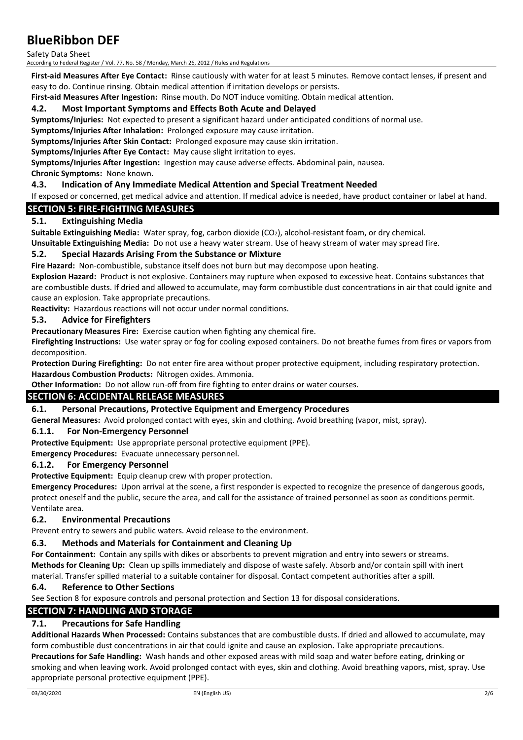Safety Data Sheet

According to Federal Register / Vol. 77, No. 58 / Monday, March 26, 2012 / Rules and Regulations

**First-aid Measures After Eye Contact:** Rinse cautiously with water for at least 5 minutes. Remove contact lenses, if present and easy to do. Continue rinsing. Obtain medical attention if irritation develops or persists.

**First-aid Measures After Ingestion:** Rinse mouth. Do NOT induce vomiting. Obtain medical attention.

### **4.2. Most Important Symptoms and Effects Both Acute and Delayed**

**Symptoms/Injuries:** Not expected to present a significant hazard under anticipated conditions of normal use.

**Symptoms/Injuries After Inhalation:** Prolonged exposure may cause irritation.

**Symptoms/Injuries After Skin Contact:** Prolonged exposure may cause skin irritation.

**Symptoms/Injuries After Eye Contact:** May cause slight irritation to eyes.

**Symptoms/Injuries After Ingestion:** Ingestion may cause adverse effects. Abdominal pain, nausea. **Chronic Symptoms:** None known.

# **4.3. Indication of Any Immediate Medical Attention and Special Treatment Needed**

If exposed or concerned, get medical advice and attention. If medical advice is needed, have product container or label at hand.

### **SECTION 5: FIRE-FIGHTING MEASURES**

# **5.1. Extinguishing Media**

**Suitable Extinguishing Media:** Water spray, fog, carbon dioxide (CO2), alcohol-resistant foam, or dry chemical. **Unsuitable Extinguishing Media:** Do not use a heavy water stream. Use of heavy stream of water may spread fire.

### **5.2. Special Hazards Arising From the Substance or Mixture**

**Fire Hazard:** Non-combustible, substance itself does not burn but may decompose upon heating.

**Explosion Hazard:** Product is not explosive. Containers may rupture when exposed to excessive heat. Contains substances that are combustible dusts. If dried and allowed to accumulate, may form combustible dust concentrations in air that could ignite and cause an explosion. Take appropriate precautions.

**Reactivity:** Hazardous reactions will not occur under normal conditions.

### **5.3. Advice for Firefighters**

**Precautionary Measures Fire:** Exercise caution when fighting any chemical fire.

**Firefighting Instructions:** Use water spray or fog for cooling exposed containers. Do not breathe fumes from fires or vapors from decomposition.

**Protection During Firefighting:** Do not enter fire area without proper protective equipment, including respiratory protection. **Hazardous Combustion Products:** Nitrogen oxides. Ammonia.

**Other Information:** Do not allow run-off from fire fighting to enter drains or water courses.

# **SECTION 6: ACCIDENTAL RELEASE MEASURES**

#### **6.1. Personal Precautions, Protective Equipment and Emergency Procedures**

**General Measures:** Avoid prolonged contact with eyes, skin and clothing. Avoid breathing (vapor, mist, spray).

#### **6.1.1. For Non-Emergency Personnel**

**Protective Equipment:** Use appropriate personal protective equipment (PPE).

**Emergency Procedures:** Evacuate unnecessary personnel.

#### **6.1.2. For Emergency Personnel**

**Protective Equipment:** Equip cleanup crew with proper protection.

**Emergency Procedures:** Upon arrival at the scene, a first responder is expected to recognize the presence of dangerous goods, protect oneself and the public, secure the area, and call for the assistance of trained personnel as soon as conditions permit. Ventilate area.

# **6.2. Environmental Precautions**

Prevent entry to sewers and public waters. Avoid release to the environment.

# **6.3. Methods and Materials for Containment and Cleaning Up**

**For Containment:** Contain any spills with dikes or absorbents to prevent migration and entry into sewers or streams. **Methods for Cleaning Up:** Clean up spills immediately and dispose of waste safely. Absorb and/or contain spill with inert material. Transfer spilled material to a suitable container for disposal. Contact competent authorities after a spill.

# **6.4. Reference to Other Sections**

See Section 8 for exposure controls and personal protection and Section 13 for disposal considerations.

# **SECTION 7: HANDLING AND STORAGE**

# **7.1. Precautions for Safe Handling**

**Additional Hazards When Processed:** Contains substances that are combustible dusts. If dried and allowed to accumulate, may form combustible dust concentrations in air that could ignite and cause an explosion. Take appropriate precautions. **Precautions for Safe Handling:** Wash hands and other exposed areas with mild soap and water before eating, drinking or smoking and when leaving work. Avoid prolonged contact with eyes, skin and clothing. Avoid breathing vapors, mist, spray. Use appropriate personal protective equipment (PPE).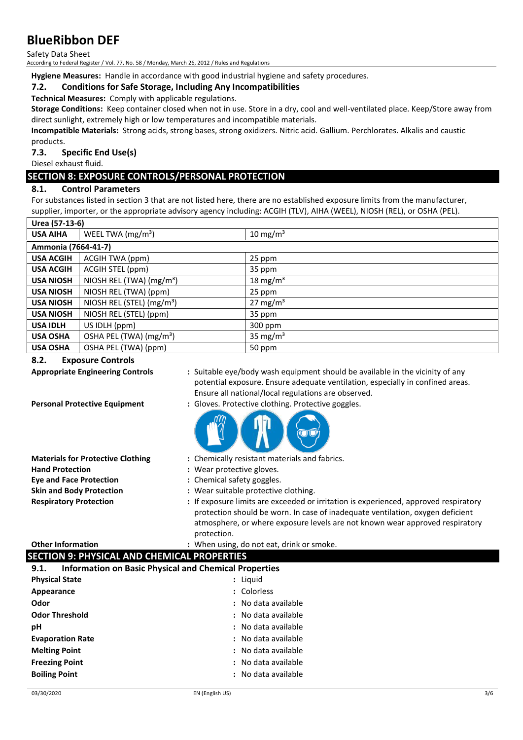Safety Data Sheet

According to Federal Register / Vol. 77, No. 58 / Monday, March 26, 2012 / Rules and Regulations

**Hygiene Measures:** Handle in accordance with good industrial hygiene and safety procedures.

# **7.2. Conditions for Safe Storage, Including Any Incompatibilities**

**Technical Measures:** Comply with applicable regulations.

**Storage Conditions:** Keep container closed when not in use. Store in a dry, cool and well-ventilated place. Keep/Store away from direct sunlight, extremely high or low temperatures and incompatible materials.

**Incompatible Materials:** Strong acids, strong bases, strong oxidizers. Nitric acid. Gallium. Perchlorates. Alkalis and caustic products.

**7.3. Specific End Use(s)**

Diesel exhaust fluid.

# **SECTION 8: EXPOSURE CONTROLS/PERSONAL PROTECTION**

# **8.1. Control Parameters**

For substances listed in section 3 that are not listed here, there are no established exposure limits from the manufacturer, supplier, importer, or the appropriate advisory agency including: ACGIH (TLV), AIHA (WEEL), NIOSH (REL), or OSHA (PEL).

| Urea (57-13-6)      |                                       |                      |
|---------------------|---------------------------------------|----------------------|
| <b>USA AIHA</b>     | WEEL TWA $(mg/m3)$                    | 10 mg/m <sup>3</sup> |
| Ammonia (7664-41-7) |                                       |                      |
| <b>USA ACGIH</b>    | ACGIH TWA (ppm)                       | 25 ppm               |
| <b>USA ACGIH</b>    | ACGIH STEL (ppm)                      | 35 ppm               |
| <b>USA NIOSH</b>    | NIOSH REL (TWA) $(mg/m3)$             | 18 mg/m <sup>3</sup> |
| <b>USA NIOSH</b>    | NIOSH REL (TWA) (ppm)                 | 25 ppm               |
| <b>USA NIOSH</b>    | NIOSH REL (STEL) (mg/m <sup>3</sup> ) | 27 mg/m <sup>3</sup> |
| <b>USA NIOSH</b>    | NIOSH REL (STEL) (ppm)                | 35 ppm               |
| <b>USA IDLH</b>     | US IDLH (ppm)                         | 300 ppm              |
| <b>USA OSHA</b>     | OSHA PEL (TWA) (mg/m <sup>3</sup> )   | 35 mg/m <sup>3</sup> |
| <b>USA OSHA</b>     | OSHA PEL (TWA) (ppm)                  | 50 ppm               |

# **8.2. Exposure Controls**

- 
- **Appropriate Engineering Controls :** Suitable eye/body wash equipment should be available in the vicinity of any potential exposure. Ensure adequate ventilation, especially in confined areas. Ensure all national/local regulations are observed.
- **Personal Protective Equipment :** Gloves. Protective clothing. Protective goggles.



- **Materials for Protective Clothing :** Chemically resistant materials and fabrics.
- **Hand Protection :** Wear protective gloves.
- **Eye and Face Protection :** Chemical safety goggles.
- **Skin and Body Protection :** Wear suitable protective clothing.
- **Respiratory Protection :** If exposure limits are exceeded or irritation is experienced, approved respiratory protection should be worn. In case of inadequate ventilation, oxygen deficient atmosphere, or where exposure levels are not known wear approved respiratory protection.

**Other Information by the contract of the U.S. State of the U.S. State of the U.S. State of the C.S. State of the U.S. State of the U.S. And <b>O.** 

|      | <b>SECTION 9: PHYSICAL AND CHEMICAL PROPERTIES</b>           |
|------|--------------------------------------------------------------|
| 9.1. | <b>Information on Basic Physical and Chemical Properties</b> |

| <b>Physical State</b>   | : Liguid            |
|-------------------------|---------------------|
| Appearance              | : Colorless         |
| Odor                    | : No data available |
| <b>Odor Threshold</b>   | : No data available |
| рH                      | : No data available |
| <b>Evaporation Rate</b> | : No data available |
| <b>Melting Point</b>    | : No data available |
| <b>Freezing Point</b>   | : No data available |
| <b>Boiling Point</b>    | : No data available |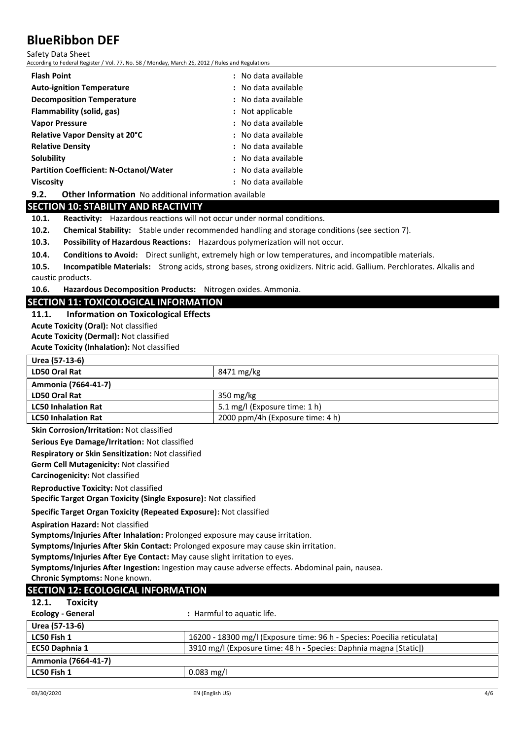Safety Data Sheet

According to Federal Register / Vol. 77, No. 58 / Monday, March 26, 2012 / Rules and Regulations

| <b>Flash Point</b>                            | : No data available |
|-----------------------------------------------|---------------------|
| <b>Auto-ignition Temperature</b>              | : No data available |
| <b>Decomposition Temperature</b>              | : No data available |
| Flammability (solid, gas)                     | : Not applicable    |
| <b>Vapor Pressure</b>                         | : No data available |
| <b>Relative Vapor Density at 20°C</b>         | : No data available |
| <b>Relative Density</b>                       | : No data available |
| Solubility                                    | : No data available |
| <b>Partition Coefficient: N-Octanol/Water</b> | : No data available |
| <b>Viscosity</b>                              | : No data available |
|                                               |                     |

**9.2. Other Information** No additional information available

### **SECTION 10: STABILITY AND REACTIVITY**

**10.1. Reactivity:** Hazardous reactions will not occur under normal conditions.

**10.2. Chemical Stability:** Stable under recommended handling and storage conditions (see section 7).

**10.3. Possibility of Hazardous Reactions:** Hazardous polymerization will not occur.

**10.4. Conditions to Avoid:** Direct sunlight, extremely high or low temperatures, and incompatible materials.

**10.5. Incompatible Materials:** Strong acids, strong bases, strong oxidizers. Nitric acid. Gallium. Perchlorates. Alkalis and caustic products.

**10.6. Hazardous Decomposition Products:** Nitrogen oxides. Ammonia.

# **SECTION 11: TOXICOLOGICAL INFORMATION**

**LD50 Oral Rat** 8471 mg/kg

#### **11.1. Information on Toxicological Effects**

**Acute Toxicity (Oral):** Not classified

**Urea (57-13-6)**

**Acute Toxicity (Dermal):** Not classified

**Acute Toxicity (Inhalation):** Not classified

| Ammonia (7664-41-7)                                                                             |                                                                         |
|-------------------------------------------------------------------------------------------------|-------------------------------------------------------------------------|
| <b>LD50 Oral Rat</b>                                                                            | 350 mg/kg                                                               |
| <b>LC50 Inhalation Rat</b>                                                                      | 5.1 mg/l (Exposure time: 1 h)                                           |
| <b>LC50 Inhalation Rat</b>                                                                      | 2000 ppm/4h (Exposure time: 4 h)                                        |
| Skin Corrosion/Irritation: Not classified                                                       |                                                                         |
| Serious Eye Damage/Irritation: Not classified                                                   |                                                                         |
| Respiratory or Skin Sensitization: Not classified                                               |                                                                         |
| Germ Cell Mutagenicity: Not classified                                                          |                                                                         |
| Carcinogenicity: Not classified                                                                 |                                                                         |
| <b>Reproductive Toxicity: Not classified</b>                                                    |                                                                         |
| Specific Target Organ Toxicity (Single Exposure): Not classified                                |                                                                         |
| Specific Target Organ Toxicity (Repeated Exposure): Not classified                              |                                                                         |
| <b>Aspiration Hazard: Not classified</b>                                                        |                                                                         |
| Symptoms/Injuries After Inhalation: Prolonged exposure may cause irritation.                    |                                                                         |
| Symptoms/Injuries After Skin Contact: Prolonged exposure may cause skin irritation.             |                                                                         |
| Symptoms/Injuries After Eye Contact: May cause slight irritation to eyes.                       |                                                                         |
| Symptoms/Injuries After Ingestion: Ingestion may cause adverse effects. Abdominal pain, nausea. |                                                                         |
| Chronic Symptoms: None known.                                                                   |                                                                         |
| <b>SECTION 12: ECOLOGICAL INFORMATION</b>                                                       |                                                                         |
| 12.1.<br><b>Toxicity</b>                                                                        |                                                                         |
| <b>Ecology - General</b>                                                                        | : Harmful to aquatic life.                                              |
| Urea (57-13-6)                                                                                  |                                                                         |
| LC50 Fish 1                                                                                     | 16200 - 18300 mg/l (Exposure time: 96 h - Species: Poecilia reticulata) |
| EC50 Daphnia 1                                                                                  | 3910 mg/l (Exposure time: 48 h - Species: Daphnia magna [Static])       |
| Ammonia (7664-41-7)                                                                             |                                                                         |
| LC50 Fish 1                                                                                     | $0.083$ mg/l                                                            |
|                                                                                                 |                                                                         |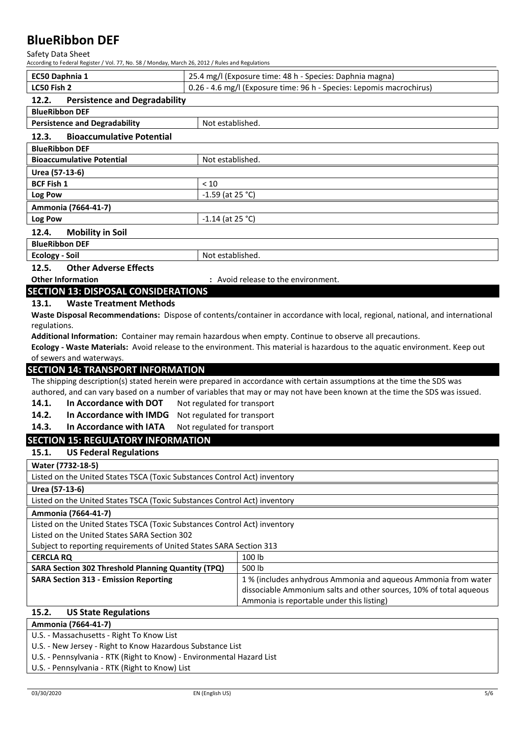Safety Data Sheet

| According to Federal Register / Vol. 77, No. 58 / Monday, March 26, 2012 / Rules and Regulations |                             |                                                                                                                               |
|--------------------------------------------------------------------------------------------------|-----------------------------|-------------------------------------------------------------------------------------------------------------------------------|
| EC50 Daphnia 1                                                                                   |                             | 25.4 mg/l (Exposure time: 48 h - Species: Daphnia magna)                                                                      |
| LC50 Fish 2                                                                                      |                             | 0.26 - 4.6 mg/l (Exposure time: 96 h - Species: Lepomis macrochirus)                                                          |
| 12.2.<br><b>Persistence and Degradability</b>                                                    |                             |                                                                                                                               |
| <b>BlueRibbon DEF</b>                                                                            |                             |                                                                                                                               |
| <b>Persistence and Degradability</b>                                                             | Not established.            |                                                                                                                               |
| 12.3.<br><b>Bioaccumulative Potential</b>                                                        |                             |                                                                                                                               |
| <b>BlueRibbon DEF</b>                                                                            |                             |                                                                                                                               |
| <b>Bioaccumulative Potential</b>                                                                 | Not established.            |                                                                                                                               |
| Urea (57-13-6)                                                                                   |                             |                                                                                                                               |
| <b>BCF Fish 1</b>                                                                                | < 10                        |                                                                                                                               |
| Log Pow                                                                                          | $-1.59$ (at 25 °C)          |                                                                                                                               |
| Ammonia (7664-41-7)                                                                              |                             |                                                                                                                               |
| Log Pow                                                                                          | $-1.14$ (at 25 °C)          |                                                                                                                               |
| 12.4.<br><b>Mobility in Soil</b>                                                                 |                             |                                                                                                                               |
| <b>BlueRibbon DEF</b>                                                                            |                             |                                                                                                                               |
| <b>Ecology - Soil</b>                                                                            | Not established.            |                                                                                                                               |
| 12.5.<br><b>Other Adverse Effects</b>                                                            |                             |                                                                                                                               |
| <b>Other Information</b><br><b>SECTION 13: DISPOSAL CONSIDERATIONS</b>                           |                             | : Avoid release to the environment.                                                                                           |
| <b>Waste Treatment Methods</b><br>13.1.                                                          |                             |                                                                                                                               |
|                                                                                                  |                             | Waste Disposal Recommendations: Dispose of contents/container in accordance with local, regional, national, and international |
| regulations.                                                                                     |                             |                                                                                                                               |
|                                                                                                  |                             | Additional Information: Container may remain hazardous when empty. Continue to observe all precautions.                       |
|                                                                                                  |                             | Ecology - Waste Materials: Avoid release to the environment. This material is hazardous to the aquatic environment. Keep out  |
|                                                                                                  |                             |                                                                                                                               |
| of sewers and waterways.                                                                         |                             |                                                                                                                               |
| <b>SECTION 14: TRANSPORT INFORMATION</b>                                                         |                             |                                                                                                                               |
|                                                                                                  |                             | The shipping description(s) stated herein were prepared in accordance with certain assumptions at the time the SDS was        |
|                                                                                                  |                             | authored, and can vary based on a number of variables that may or may not have been known at the time the SDS was issued.     |
| 14.1.<br>In Accordance with DOT                                                                  | Not regulated for transport |                                                                                                                               |
| In Accordance with IMDG<br>14.2.                                                                 | Not regulated for transport |                                                                                                                               |
| 14.3.<br>In Accordance with IATA                                                                 | Not regulated for transport |                                                                                                                               |
| <b>SECTION 15: REGULATORY INFORMATION</b>                                                        |                             |                                                                                                                               |
| 15.1.<br><b>US Federal Regulations</b>                                                           |                             |                                                                                                                               |
| Water (7732-18-5)                                                                                |                             |                                                                                                                               |
| Listed on the United States TSCA (Toxic Substances Control Act) inventory                        |                             |                                                                                                                               |
| Urea (57-13-6)                                                                                   |                             |                                                                                                                               |
| Listed on the United States TSCA (Toxic Substances Control Act) inventory                        |                             |                                                                                                                               |
| Ammonia (7664-41-7)                                                                              |                             |                                                                                                                               |
| Listed on the United States TSCA (Toxic Substances Control Act) inventory                        |                             |                                                                                                                               |
| Listed on the United States SARA Section 302                                                     |                             |                                                                                                                               |
| Subject to reporting requirements of United States SARA Section 313                              |                             |                                                                                                                               |
| <b>CERCLA RQ</b>                                                                                 |                             | 100 lb                                                                                                                        |
| <b>SARA Section 302 Threshold Planning Quantity (TPQ)</b>                                        |                             | 500 lb                                                                                                                        |
| <b>SARA Section 313 - Emission Reporting</b>                                                     |                             | 1% (includes anhydrous Ammonia and aqueous Ammonia from water                                                                 |
|                                                                                                  |                             | dissociable Ammonium salts and other sources, 10% of total aqueous<br>Ammonia is reportable under this listing)               |
| 15.2.<br><b>US State Regulations</b>                                                             |                             |                                                                                                                               |
| Ammonia (7664-41-7)                                                                              |                             |                                                                                                                               |
| U.S. - Massachusetts - Right To Know List                                                        |                             |                                                                                                                               |

U.S. - Pennsylvania - RTK (Right to Know) - Environmental Hazard List

U.S. - Pennsylvania - RTK (Right to Know) List